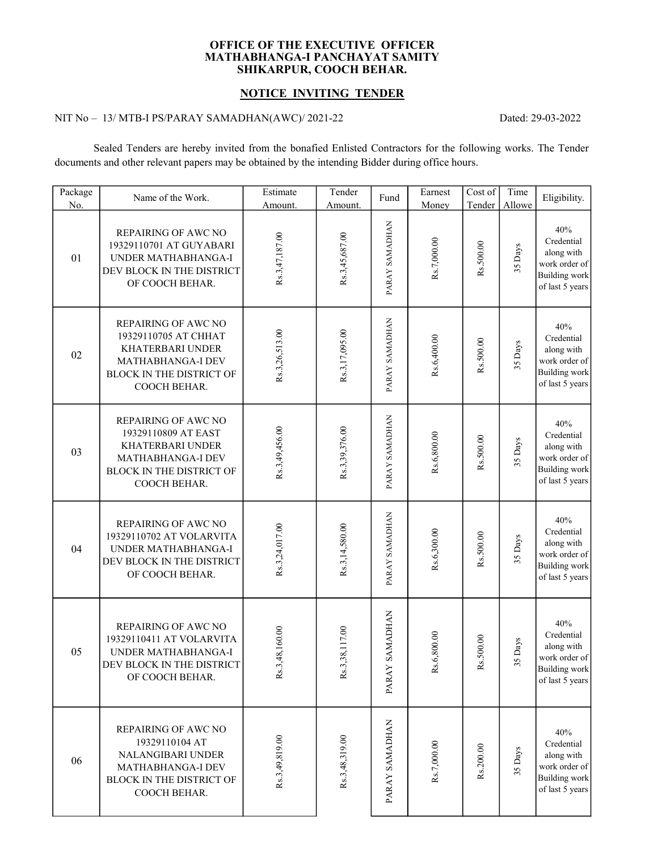### OFFICE OF THE EXECUTIVE OFFICER SHIKARPUR, COOCH BEHAR. MATHABHANGA-I PANCHAYAT SAMITY

### NOTICE INVITING TENDER

### NIT No – 13/ MTB-I PS/PARAY SAMADHAN(AWC)/ 2021-22

Dated: 29-03-2022

Sealed Tenders are hereby invited from the bonafied Enlisted Contractors for the following works. The Tender documents and other relevant papers may be obtained by the intending Bidder during office hours.

| Package<br>No. | Name of the Work.                                                                                                                              | Estimate<br>Amount. | Tender<br>Amount. | Fund                             | Earnest<br>Money | Cost of<br>Tender | Time<br>Allowe | Eligibility.                                                                                |
|----------------|------------------------------------------------------------------------------------------------------------------------------------------------|---------------------|-------------------|----------------------------------|------------------|-------------------|----------------|---------------------------------------------------------------------------------------------|
| 01             | <b>REPAIRING OF AWC NO</b><br>19329110701 AT GUYABARI<br>UNDER MATHABHANGA-I<br>DEV BLOCK IN THE DISTRICT<br>OF COOCH BEHAR.                   | Rs.3,47,187.00      | Rs.3,45,687.00    | PARAY SAMADHAN                   | Rs.7,000.00      | Rs.500.00         | 35 Days        | 40%<br>Credential<br>along with<br>work order of<br><b>Building work</b><br>of last 5 years |
| 02             | REPAIRING OF AWC NO<br>19329110705 AT CHHAT<br><b>KHATERBARI UNDER</b><br>MATHABHANGA-I DEV<br><b>BLOCK IN THE DISTRICT OF</b><br>COOCH BEHAR. | Rs.3,26,513.00      | Rs.3,17,095.00    | PARAY SAMADHAN                   | Rs.6,400.00      | Rs.500.00         | 35 Days        | 40%<br>Credential<br>along with<br>work order of<br><b>Building work</b><br>of last 5 years |
| 03             | REPAIRING OF AWC NO<br>19329110809 AT EAST<br>KHATERBARI UNDER<br>MATHABHANGA-I DEV<br><b>BLOCK IN THE DISTRICT OF</b><br>COOCH BEHAR.         | Rs.3,49,456.00      | Rs.3,39,376.00    | PARAY SAMADHAN                   | Rs.6,800.00      | Rs.500.00         | 35 Days        | 40%<br>Credential<br>along with<br>work order of<br><b>Building work</b><br>of last 5 years |
| 04             | <b>REPAIRING OF AWC NO</b><br>19329110702 AT VOLARVITA<br>UNDER MATHABHANGA-I<br>DEV BLOCK IN THE DISTRICT<br>OF COOCH BEHAR.                  | Rs.3,24,017.00      | Rs.3,14,580.00    | PARAY SAMADHAN                   | Rs.6,300.00      | Rs.500.00         | 35 Days        | 40%<br>Credential<br>along with<br>work order of<br><b>Building</b> work<br>of last 5 years |
| 05             | REPAIRING OF AWC NO<br>19329110411 AT VOLARVITA<br>UNDER MATHABHANGA-I<br>DEV BLOCK IN THE DISTRICT<br>OF COOCH BEHAR.                         | ,48,160.00<br>Rs.3  | Rs.3,38,117.00    | <b>NAHIGAMAS</b><br><b>PARAY</b> | 6,800.00<br>Rs.  | Rs.500.00         | 35 Days        | 40%<br>Credential<br>along with<br>work order of<br><b>Building work</b><br>of last 5 years |
| 06             | REPAIRING OF AWC NO<br>19329110104 AT<br>NALANGIBARI UNDER<br>MATHABHANGA-I DEV<br><b>BLOCK IN THE DISTRICT OF</b><br>COOCH BEHAR.             | Rs.3,49,819.00      | Rs.3,48,319.00    | PARAY SAMADHAN                   | Rs.7,000.00      | Rs.200.00         | 35 Days        | 40%<br>Credential<br>along with<br>work order of<br><b>Building</b> work<br>of last 5 years |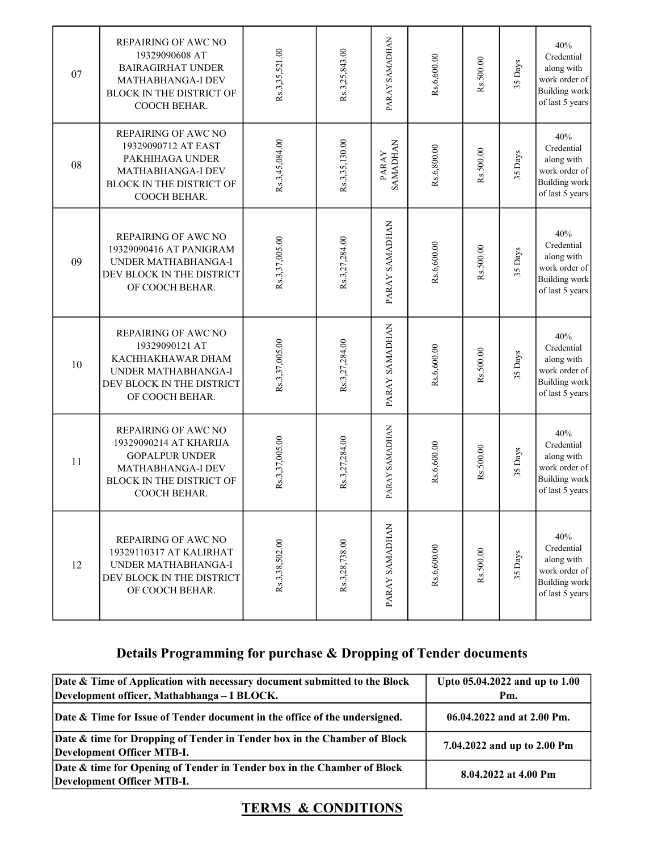| 07 | REPAIRING OF AWC NO<br>19329090608 AT<br><b>BAIRAGIRHAT UNDER</b><br>MATHABHANGA-I DEV<br><b>BLOCK IN THE DISTRICT OF</b><br>COOCH BEHAR.      | Rs.3,35,521.00 | Rs.3,25,843.00 | PARAY SAMADHAN           | Rs.6,600.00 | Rs.500.00 | 35 Days | 40%<br>Credential<br>along with<br>work order of<br><b>Building work</b><br>of last 5 years |  |
|----|------------------------------------------------------------------------------------------------------------------------------------------------|----------------|----------------|--------------------------|-------------|-----------|---------|---------------------------------------------------------------------------------------------|--|
| 08 | REPAIRING OF AWC NO<br>19329090712 AT EAST<br>PAKHIHAGA UNDER<br>MATHABHANGA-I DEV<br><b>BLOCK IN THE DISTRICT OF</b><br>COOCH BEHAR.          | Rs.3,45,084.00 | Rs.3,35,130.00 | <b>SAMADHAN</b><br>PARAY | Rs.6,800.00 | Rs.500.00 | 35 Days | 40%<br>Credential<br>along with<br>work order of<br><b>Building work</b><br>of last 5 years |  |
| 09 | REPAIRING OF AWC NO<br>19329090416 AT PANIGRAM<br>UNDER MATHABHANGA-I<br>DEV BLOCK IN THE DISTRICT<br>OF COOCH BEHAR.                          | Rs.3,37,005.00 | Rs.3,27,284.00 | PARAY SAMADHAN           | Rs.6,600.00 | Rs.500.00 | 35 Days | 40%<br>Credential<br>along with<br>work order of<br><b>Building work</b><br>of last 5 years |  |
| 10 | REPAIRING OF AWC NO<br>19329090121 AT<br>KACHHAKHAWAR DHAM<br>UNDER MATHABHANGA-I<br>DEV BLOCK IN THE DISTRICT<br>OF COOCH BEHAR.              | Rs.3,37,005.00 | Rs.3,27,284.00 | PARAY SAMADHAN           | Rs.6,600.00 | Rs.500.00 | 35 Days | 40%<br>Credential<br>along with<br>work order of<br><b>Building work</b><br>of last 5 years |  |
| 11 | REPAIRING OF AWC NO<br>19329090214 AT KHARIJA<br><b>GOPALPUR UNDER</b><br>MATHABHANGA-I DEV<br><b>BLOCK IN THE DISTRICT OF</b><br>COOCH BEHAR. | Rs.3,37,005.00 | Rs.3,27,284.00 | PARAY SAMADHAN           | Rs.6,600.00 | Rs.500.00 | 35 Days | 40%<br>Credential<br>along with<br>work order of<br><b>Building work</b><br>of last 5 years |  |
| 12 | REPAIRING OF AWC NO<br>19329110317 AT KALIRHAT<br>UNDER MATHABHANGA-I<br>DEV BLOCK IN THE DISTRICT<br>OF COOCH BEHAR.                          | Rs.3,38,502.00 | Rs.3,28,738.00 | PARAY SAMADHAN           | Rs.6,600.00 | Rs.500.00 | 35 Days | 40%<br>Credential<br>along with<br>work order of<br><b>Building work</b><br>of last 5 years |  |

# Details Programming for purchase & Dropping of Tender documents

| Date & Time of Application with necessary document submitted to the Block                              | Upto 05.04.2022 and up to 1.00 |  |  |  |
|--------------------------------------------------------------------------------------------------------|--------------------------------|--|--|--|
| Development officer, Mathabhanga - I BLOCK.                                                            | Pm.                            |  |  |  |
| Date & Time for Issue of Tender document in the office of the undersigned.                             | 06.04.2022 and at 2.00 Pm.     |  |  |  |
| Date & time for Dropping of Tender in Tender box in the Chamber of Block<br>Development Officer MTB-I. | 7.04.2022 and up to 2.00 Pm    |  |  |  |
| Date & time for Opening of Tender in Tender box in the Chamber of Block<br>Development Officer MTB-I.  | 8.04.2022 at 4.00 Pm           |  |  |  |

# TERMS & CONDITIONS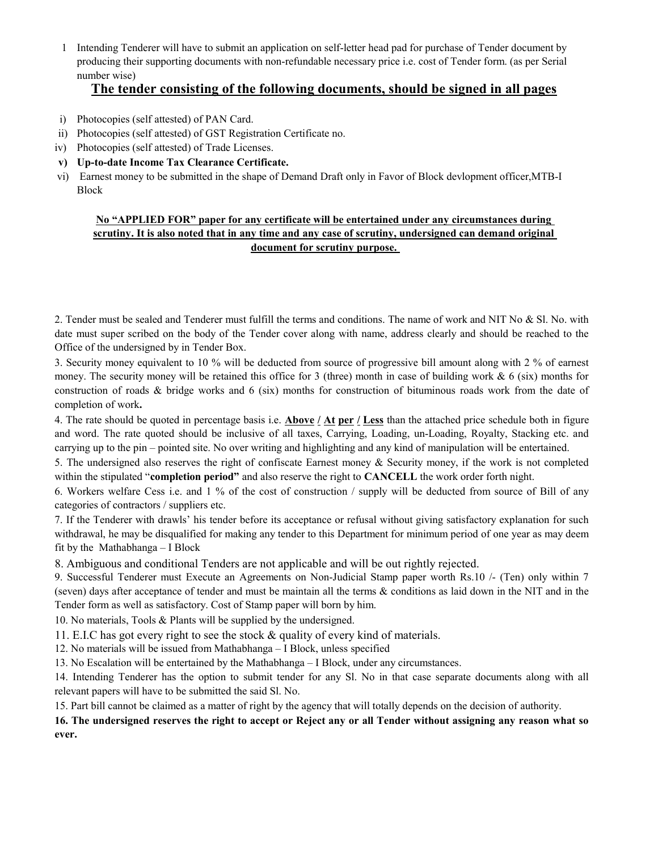1 Intending Tenderer will have to submit an application on self-letter head pad for purchase of Tender document by producing their supporting documents with non-refundable necessary price i.e. cost of Tender form. (as per Serial number wise)

## The tender consisting of the following documents, should be signed in all pages

- i) Photocopies (self attested) of PAN Card.
- ii) Photocopies (self attested) of GST Registration Certificate no.
- iv) Photocopies (self attested) of Trade Licenses.
- v) Up-to-date Income Tax Clearance Certificate.
- vi) Earnest money to be submitted in the shape of Demand Draft only in Favor of Block devlopment officer,MTB-I Block

### No "APPLIED FOR" paper for any certificate will be entertained under any circumstances during scrutiny. It is also noted that in any time and any case of scrutiny, undersigned can demand original document for scrutiny purpose.

2. Tender must be sealed and Tenderer must fulfill the terms and conditions. The name of work and NIT No & Sl. No. with date must super scribed on the body of the Tender cover along with name, address clearly and should be reached to the Office of the undersigned by in Tender Box.

3. Security money equivalent to 10 % will be deducted from source of progressive bill amount along with 2 % of earnest money. The security money will be retained this office for 3 (three) month in case of building work  $\& 6$  (six) months for construction of roads & bridge works and 6 (six) months for construction of bituminous roads work from the date of completion of work.

4. The rate should be quoted in percentage basis i.e. Above  $/$  At per  $/$  Less than the attached price schedule both in figure and word. The rate quoted should be inclusive of all taxes, Carrying, Loading, un-Loading, Royalty, Stacking etc. and carrying up to the pin – pointed site. No over writing and highlighting and any kind of manipulation will be entertained.

5. The undersigned also reserves the right of confiscate Earnest money & Security money, if the work is not completed within the stipulated "completion period" and also reserve the right to CANCELL the work order forth night.

6. Workers welfare Cess i.e. and 1 % of the cost of construction / supply will be deducted from source of Bill of any categories of contractors / suppliers etc.

7. If the Tenderer with drawls' his tender before its acceptance or refusal without giving satisfactory explanation for such withdrawal, he may be disqualified for making any tender to this Department for minimum period of one year as may deem fit by the Mathabhanga – I Block

8. Ambiguous and conditional Tenders are not applicable and will be out rightly rejected.

9. Successful Tenderer must Execute an Agreements on Non-Judicial Stamp paper worth Rs.10 /- (Ten) only within 7 (seven) days after acceptance of tender and must be maintain all the terms & conditions as laid down in the NIT and in the Tender form as well as satisfactory. Cost of Stamp paper will born by him.

10. No materials, Tools & Plants will be supplied by the undersigned.

11. E.I.C has got every right to see the stock & quality of every kind of materials.

12. No materials will be issued from Mathabhanga – I Block, unless specified

13. No Escalation will be entertained by the Mathabhanga – I Block, under any circumstances.

14. Intending Tenderer has the option to submit tender for any Sl. No in that case separate documents along with all relevant papers will have to be submitted the said Sl. No.

15. Part bill cannot be claimed as a matter of right by the agency that will totally depends on the decision of authority.

16. The undersigned reserves the right to accept or Reject any or all Tender without assigning any reason what so ever.